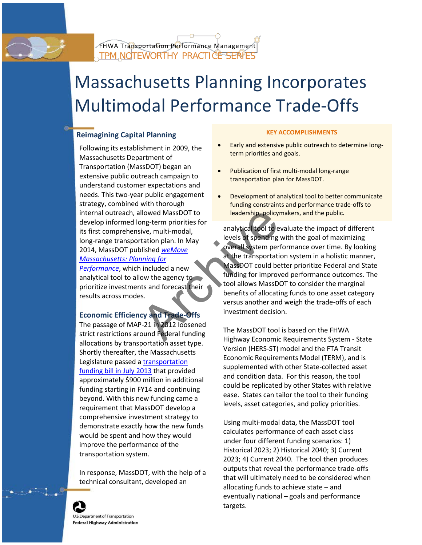

# Massachusetts Planning Incorporates Multimodal Performance Trade-Offs

### **Reimagining Capital Planning <b>KEY ACCOMPLISHMENTS**

Massachusetts Department of Transportation (MassDOT) began an extensive public outreach campaign to understand customer expectations and understand customer expectations and internal outreach, allowed MassDOT to leadership, policymakers, and the public. develop informed long-term priorities for<br>its first comprehensive, multi-modal, analytical tool to evaluate the impact of different<br>levels of spending with the goal of maximizing

## investment decision. **Economic Efficiency and Trade-Offs**

The passage of MAP-21 in 2012 loosened levels, asset categories, and policy priorities. requirement that MassDOT develop a comprehensive investment strategy to Using multi-modal data, the MassDOT tool demonstrate exactly how the new funds



- Following its establishment in 2009, the Early and extensive public outreach to determine long-<br>Messachusette Department of
	-
- needs. This two-year public engagement Development of analytical tool to better communicate<br>strategy, combined with thorough by the funding constraints and performance trade-offs to funding constraints and performance trade-offs to

levels of spending with the goal of maximizing long-range transportation plan. In May overall system performance over time. By looking 2014, MassDOT published *weMove Massachusetts: Planning for* at the transportation system in a holistic manner, **[Performance](http://www.massdot.state.ma.us/Portals/22/Docs/WWM_Planning_for_Performance.pdf)**, which included a new **MassDOT** could better prioritize Federal and State funding for improved performance outcomes. The prioritize investments and forecast their tool allows MassDOT to consider the marginal prioritize investments and forecast their tool allows MassDOT to consider the marginal b benefits of allocating funds to one asset category results across modes.<br>
versus another and weigh the trade-offs of each France MassDOT to<br>
Sive, multi-modal,<br>
tration plan. In May<br>
bis[h](http://www.massdot.state.ma.us/Portals/22/Docs/WWM_Planning_for_Performance.pdf)ed weMove<br>
included a new<br>
overall system per<br>
included a new<br>
overall system per<br>
archives of spending<br>
overall system per<br>
at the transportation<br>
overall s

The MassDOT tool is based on the FHWA<br>strict restrictions around Federal funding<br>allocations by transportation asset type.<br>Shortly thereafter, the Massachusetts<br>Latinum around the Massachusetts<br>Latinum around the massachus Legislature passed a <u>transportation</u><br> [funding](https://malegislature.gov/Laws/SessionLaws/Acts/2013/Chapter46) bill in July 2013 that provided<br>
approximately \$900 million in additional<br>
funding atorting in FV44 and conditional<br>
funding atorting in FV44 and continuing funding starting in FY14 and continuing the replicated by other States with relative beyond. With this new funding came a

calculates performance of each asset class<br>would be spent and how they would<br>interval in the conference of the second word and the specific spending scenarios: 1) improve the performance of the Historical 2023; 2) Historical 2040; 3) Current transportation system.<br>
2023; 4) Current 2040. The tool then produces In response, MassDOT, with the help of a dutputs that reveal the performance trade-offs<br>that will ultimately need to be considered when<br>technical consultant, developed an allocating funds to achieve state – and eventually national – goals and performance targets.